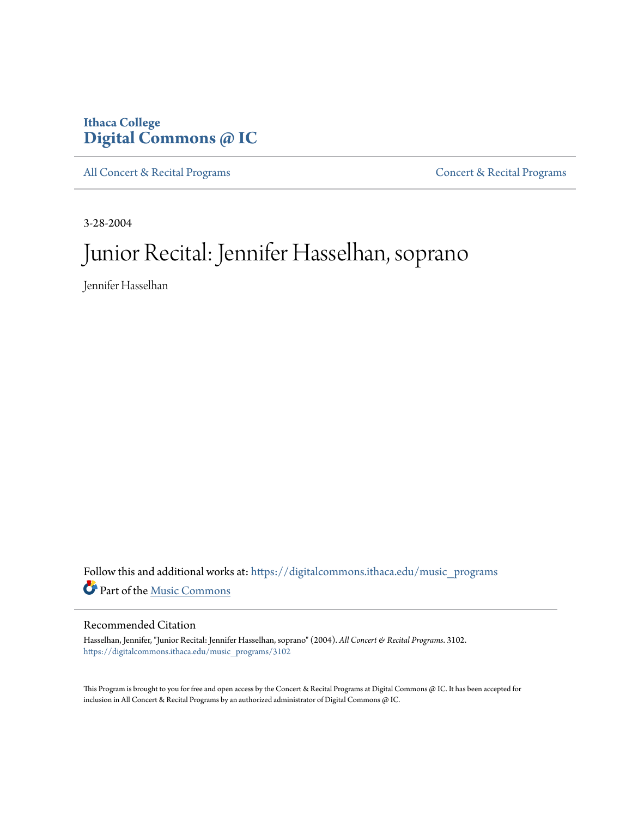# **Ithaca College [Digital Commons @ IC](https://digitalcommons.ithaca.edu?utm_source=digitalcommons.ithaca.edu%2Fmusic_programs%2F3102&utm_medium=PDF&utm_campaign=PDFCoverPages)**

[All Concert & Recital Programs](https://digitalcommons.ithaca.edu/music_programs?utm_source=digitalcommons.ithaca.edu%2Fmusic_programs%2F3102&utm_medium=PDF&utm_campaign=PDFCoverPages) **[Concert & Recital Programs](https://digitalcommons.ithaca.edu/som_programs?utm_source=digitalcommons.ithaca.edu%2Fmusic_programs%2F3102&utm_medium=PDF&utm_campaign=PDFCoverPages)** 

3-28-2004

# Junior Recital: Jennifer Hasselhan, soprano

Jennifer Hasselhan

Follow this and additional works at: [https://digitalcommons.ithaca.edu/music\\_programs](https://digitalcommons.ithaca.edu/music_programs?utm_source=digitalcommons.ithaca.edu%2Fmusic_programs%2F3102&utm_medium=PDF&utm_campaign=PDFCoverPages) Part of the [Music Commons](http://network.bepress.com/hgg/discipline/518?utm_source=digitalcommons.ithaca.edu%2Fmusic_programs%2F3102&utm_medium=PDF&utm_campaign=PDFCoverPages)

### Recommended Citation

Hasselhan, Jennifer, "Junior Recital: Jennifer Hasselhan, soprano" (2004). *All Concert & Recital Programs*. 3102. [https://digitalcommons.ithaca.edu/music\\_programs/3102](https://digitalcommons.ithaca.edu/music_programs/3102?utm_source=digitalcommons.ithaca.edu%2Fmusic_programs%2F3102&utm_medium=PDF&utm_campaign=PDFCoverPages)

This Program is brought to you for free and open access by the Concert & Recital Programs at Digital Commons @ IC. It has been accepted for inclusion in All Concert & Recital Programs by an authorized administrator of Digital Commons @ IC.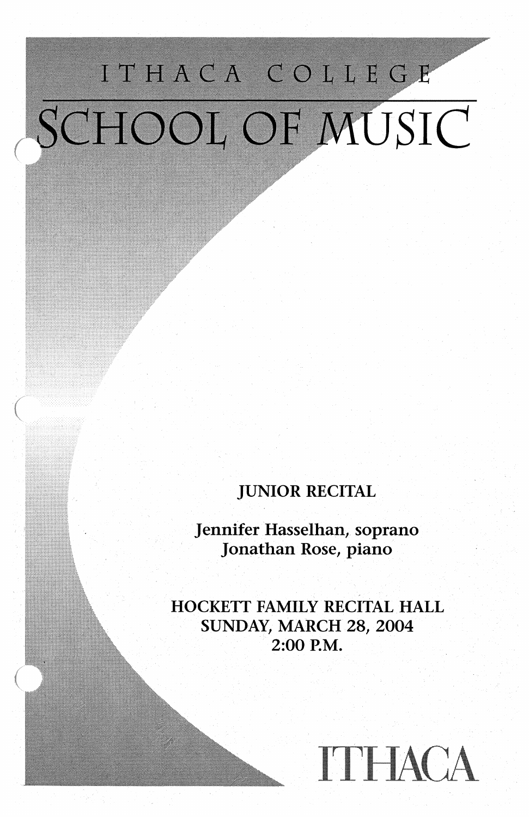# ITHACA COLLEGE SCHOOL OF MUSIC

JUNIOR RECITAL

Jennifer Hasselhan, soprano Jonathan Rose, piano

HOCKETT FAMILY RECITAL HALL SUNDAY, MARCH 28, 2004 2:00 P.M.